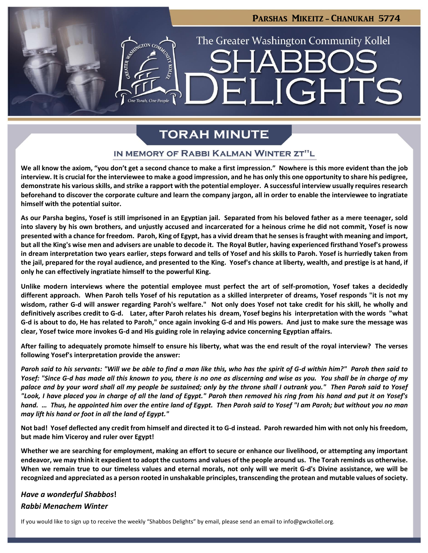# The Greater Washington Community Kollel **JGHTS**

PARSHAS MIKEITZ - CHANUKAH 5774

## **TORAH MINUTE**

#### IN MEMORY OF RABBI KALMAN WINTER ZT"L

**We all know the axiom, "you don't get a second chance to make a first impression." Nowhere is this more evident than the job interview. It is crucial for the interviewee to make a good impression, and he has only this one opportunity to share his pedigree, demonstrate his variousskills, and strike a rapport with the potential employer. A successful interview usually requiresresearch beforehand to discover the corporate culture and learn the company jargon, all in order to enable the interviewee to ingratiate himself with the potential suitor.**

**As our Parsha begins, Yosef is still imprisoned in an Egyptian jail. Separated from his beloved father as a mere teenager, sold into slavery by his own brothers, and unjustly accused and incarcerated for a heinous crime he did not commit, Yosef is now presented with a chance for freedom. Paroh, King of Egypt, has a vivid dream that he senses is fraught with meaning and import, but all the King's wise men and advisers are unable to decode it. The Royal Butler, having experienced firsthand Yosef's prowess in dream interpretation two years earlier, steps forward and tells of Yosef and his skills to Paroh. Yosef is hurriedly taken from the jail, prepared for the royal audience, and presented to the King. Yosef's chance at liberty, wealth, and prestige is at hand, if only he can effectively ingratiate himself to the powerful King.**

**Unlike modern interviews where the potential employee must perfect the art of self-promotion, Yosef takes a decidedly different approach. When Paroh tells Yosef of his reputation as a skilled interpreter of dreams, Yosef responds "it is not my wisdom, rather G-d will answer regarding Paroh's welfare." Not only does Yosef not take credit for his skill, he wholly and definitively ascribes credit to G-d. Later, after Paroh relates his dream, Yosef begins his interpretation with the words "what G-d is about to do, He has related to Paroh," once again invoking G-d and His powers. And just to make sure the message was clear, Yosef twice more invokes G-d and His guiding role in relaying advice concerning Egyptian affairs.**

**After failing to adequately promote himself to ensure his liberty, what was the end result of the royal interview? The verses following Yosef's interpretation provide the answer:**

*Paroh said to his servants: "Will we be able to find a man like this, who has the spirit of G-d within him?" Paroh then said to Yosef: "Since G-d has made all this known to you, there is no one as discerning and wise as you. You shall be in charge of my palace and by your word shall all my people be sustained; only by the throne shall I outrank you." Then Paroh said to Yosef "Look, I have placed you in charge of all the land of Egypt." Paroh then removed his ring from his hand and put it on Yosef's hand. … Thus, he appointed him over the entire land of Egypt. Then Paroh said to Yosef "I am Paroh; but without you no man may lift his hand or foot in all the land of Egypt."*

**Not bad! Yosef deflected any credit from himself and directed it to G-d instead. Paroh rewarded him with not only his freedom, but made him Viceroy and ruler over Egypt!**

**Whether we are searching for employment, making an effort to secure or enhance our livelihood, or attempting any important endeavor, we may think it expedient to adopt the customs and values of the people around us. The Torah reminds us otherwise. When we remain true to our timeless values and eternal morals, not only will we merit G-d's Divine assistance, we will be recognized and appreciated as a person rooted in unshakable principles, transcending the protean and mutable values of society.**

#### *Have a wonderful Shabbos***!**

#### *Rabbi Menachem Winter*

If you would like to sign up to receive the weekly "Shabbos Delights" by email, please send an email to [info@gwckollel.org](mailto:info@gwckollel.org).